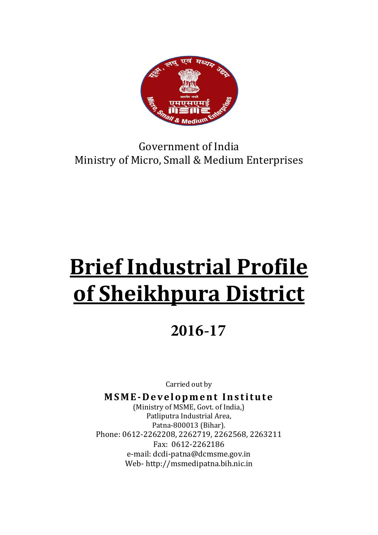

# Government of India Ministry of Micro, Small & Medium Enterprises

# Brief Industrial Profile of Sheikhpura District

# **2016-17**

Carried out by

MSME-Development Institute

(Ministry of MSME, Govt. of India,) Patliputra Industrial Area, Patna-800013 (Bihar). Phone: 0612-2262208, 2262719, 2262568, 2263211 Fax: 0612-2262186 e-mail: dcdi-patna@dcmsme.gov.in Web- http://msmedipatna.bih.nic.in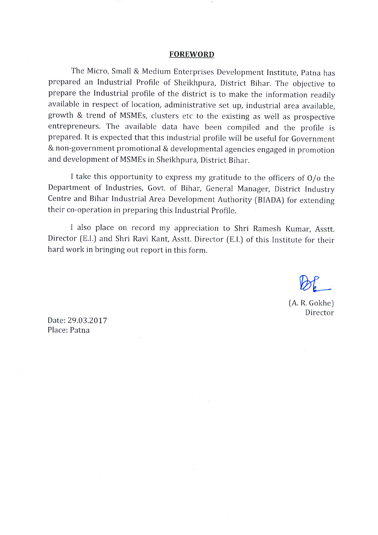#### **FOREWORD**

The Micro, Small & Medium Enterprises Development Institute, Patna has prepared an Industrial Profile of Sheikhpura, District Bihar. The objective to prepare the Industrial profile of the district is to make the information readily available in respect of location, administrative set up, industrial area available, growth & trend of MSMEs, clusters etc to the existing as well as prospective entrepreneurs. The available data have been compiled and the profile is prepared. It is expected that this industrial profile will be useful for Government & non-government promotional & developmental agencies engaged in promotion and development of MSMEs in Sheikhpura, District Bihar.

I take this opportunity to express my gratitude to the officers of O/o the Department of Industries, Govt. of Bihar, General Manager, District Industry Centre and Bihar Industrial Area Development Authority (BIADA) for extending their co-operation in preparing this Industrial Profile.

I also place on record my appreciation to Shri Ramesh Kumar, Asstt. Director (E.I.) and Shri Ravi Kant, Asstt. Director (E.I.) of this Institute for their hard work in bringing out report in this form.

(A. R. Gokhe) Director

Date: 29.03.2017 Place: Patna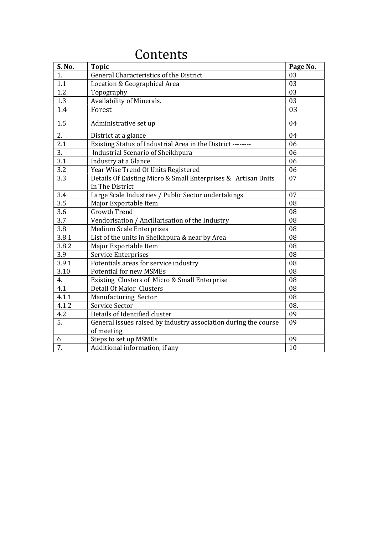| S. No. | <b>Topic</b>                                                                     | Page No. |
|--------|----------------------------------------------------------------------------------|----------|
| 1.     | General Characteristics of the District                                          | 03       |
| 1.1    | Location & Geographical Area                                                     | 03       |
| 1.2    | Topography                                                                       | 03       |
| 1.3    | Availability of Minerals.                                                        | 03       |
| 1.4    | Forest                                                                           | 03       |
| 1.5    | Administrative set up                                                            | 04       |
| 2.     | District at a glance                                                             | 04       |
| 2.1    | Existing Status of Industrial Area in the District --------                      | 06       |
| 3.     | Industrial Scenario of Sheikhpura                                                | 06       |
| 3.1    | Industry at a Glance                                                             | 06       |
| 3.2    | Year Wise Trend Of Units Registered                                              | 06       |
| 3.3    | Details Of Existing Micro & Small Enterprises & Artisan Units<br>In The District | 07       |
| 3.4    | Large Scale Industries / Public Sector undertakings                              | 07       |
| 3.5    | Major Exportable Item                                                            | 08       |
| 3.6    | <b>Growth Trend</b>                                                              | 08       |
| 3.7    | Vendorisation / Ancillarisation of the Industry                                  | 08       |
| 3.8    | <b>Medium Scale Enterprises</b>                                                  | 08       |
| 3.8.1  | List of the units in Sheikhpura & near by Area                                   | 08       |
| 3.8.2  | Major Exportable Item                                                            | 08       |
| 3.9    | Service Enterprises                                                              | 08       |
| 3.9.1  | Potentials areas for service industry                                            | 08       |
| 3.10   | <b>Potential for new MSMEs</b>                                                   | 08       |
| 4.     | Existing Clusters of Micro & Small Enterprise                                    | 08       |
| 4.1    | Detail Of Major Clusters                                                         | 08       |
| 4.1.1  | Manufacturing Sector                                                             | 08       |
| 4.1.2  | Service Sector                                                                   | 08.      |
| 4.2    | Details of Identified cluster                                                    | 09       |
| 5.     | General issues raised by industry association during the course<br>of meeting    | 09       |
| 6      | Steps to set up MSMEs                                                            | 09       |
| 7.     | Additional information, if any                                                   | 10       |

# Contents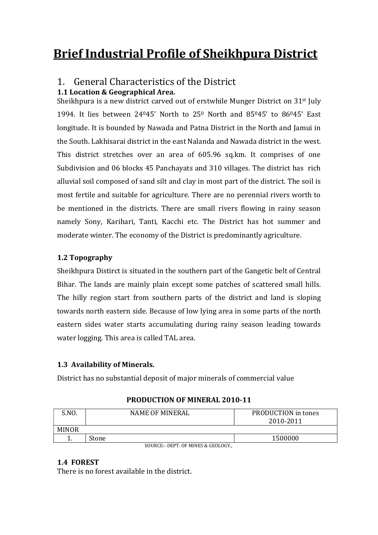# Brief Industrial Profile of Sheikhpura District

#### 1. General Characteristics of the District 1.1 Location & Geographical Area.

Sheikhpura is a new district carved out of erstwhile Munger District on 31st July 1994. It lies between 24045' North to 250 North and 85045' to 86045' East longitude. It is bounded by Nawada and Patna District in the North and Jamui in the South. Lakhisarai district in the east Nalanda and Nawada district in the west. This district stretches over an area of 605.96 sq.km. It comprises of one Subdivision and 06 blocks 45 Panchayats and 310 villages. The district has rich alluvial soil composed of sand silt and clay in most part of the district. The soil is most fertile and suitable for agriculture. There are no perennial rivers worth to be mentioned in the districts. There are small rivers flowing in rainy season namely Sony, Karihari, Tanti, Kacchi etc. The District has hot summer and moderate winter. The economy of the District is predominantly agriculture.

#### 1.2 Topography

Sheikhpura Distirct is situated in the southern part of the Gangetic belt of Central Bihar. The lands are mainly plain except some patches of scattered small hills. The hilly region start from southern parts of the district and land is sloping towards north eastern side. Because of low lying area in some parts of the north eastern sides water starts accumulating during rainy season leading towards water logging. This area is called TAL area.

#### 1.3 Availability of Minerals.

District has no substantial deposit of major minerals of commercial value

| 2010-2011<br><b>MINOR</b> | S.NO. | <b>NAME OF MINERAL</b> | PRODUCTION in tones |
|---------------------------|-------|------------------------|---------------------|
|                           |       |                        |                     |
|                           |       |                        |                     |
| Stone<br>                 |       |                        | 1500000             |

#### PRODUCTION OF MINERAL 2010-11

SOURCE:- DEPT. OF MINES & GEOLOGY.,

#### 1.4 FOREST

There is no forest available in the district.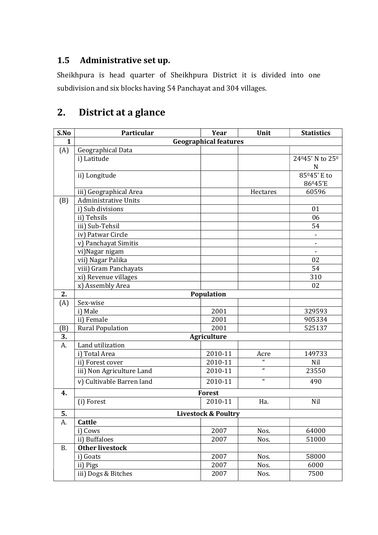### 1.5 Administrative set up.

Sheikhpura is head quarter of Sheikhpura District it is divided into one subdivision and six blocks having 54 Panchayat and 304 villages.

# 2. District at a glance

| S.No      | Particular                   | Year                           | Unit             | <b>Statistics</b>        |  |  |
|-----------|------------------------------|--------------------------------|------------------|--------------------------|--|--|
| 1         | <b>Geographical features</b> |                                |                  |                          |  |  |
| (A)       | Geographical Data            |                                |                  |                          |  |  |
|           | i) Latitude                  |                                |                  | 24045' N to 250          |  |  |
|           |                              |                                |                  | N                        |  |  |
|           | ii) Longitude                |                                |                  | 85 <sup>0</sup> 45' E to |  |  |
|           |                              |                                |                  | 86045'E                  |  |  |
|           | iii) Geographical Area       |                                | Hectares         | 60596                    |  |  |
| (B)       | <b>Administrative Units</b>  |                                |                  |                          |  |  |
|           | i) Sub divisions             |                                |                  | 01                       |  |  |
|           | ii) Tehsils                  |                                |                  | 06                       |  |  |
|           | iii) Sub-Tehsil              |                                |                  | 54                       |  |  |
|           | iv) Patwar Circle            |                                |                  |                          |  |  |
|           | v) Panchayat Simitis         |                                |                  |                          |  |  |
|           | vi)Nagar nigam               |                                |                  | $\blacksquare$           |  |  |
|           | vii) Nagar Palika            |                                |                  | 02                       |  |  |
|           | viii) Gram Panchayats        |                                |                  | 54                       |  |  |
|           | xi) Revenue villages         |                                |                  | 310                      |  |  |
|           | x) Assembly Area             |                                |                  | 02                       |  |  |
| 2.        |                              | Population                     |                  |                          |  |  |
| (A)       | Sex-wise                     |                                |                  |                          |  |  |
|           | i) Male                      | 2001                           |                  | 329593                   |  |  |
|           | ii) Female                   | 2001                           |                  | 905334                   |  |  |
| (B)       | <b>Rural Population</b>      | 2001                           |                  | 525137                   |  |  |
| 3.        |                              | <b>Agriculture</b>             |                  |                          |  |  |
| A.        | Land utilization             |                                |                  |                          |  |  |
|           | i) Total Area                | 2010-11                        | Acre             | 149733                   |  |  |
|           | ii) Forest cover             | 2010-11                        | $\epsilon$       | Nil                      |  |  |
|           | iii) Non Agriculture Land    | 2010-11                        | $\pmb{\epsilon}$ | 23550                    |  |  |
|           | v) Cultivable Barren land    | 2010-11                        | $\mathbf{r}$     | 490                      |  |  |
| 4.        |                              | <b>Forest</b>                  |                  |                          |  |  |
|           | (i) Forest                   | 2010-11                        | Ha.              | Nil                      |  |  |
| 5.        |                              | <b>Livestock &amp; Poultry</b> |                  |                          |  |  |
| A.        | Cattle                       |                                |                  |                          |  |  |
|           | i) Cows                      | 2007                           | Nos.             | 64000                    |  |  |
|           | ii) Buffaloes                | 2007                           | Nos.             | 51000                    |  |  |
| <b>B.</b> | <b>Other livestock</b>       |                                |                  |                          |  |  |
|           | i) Goats                     | 2007                           | Nos.             | 58000                    |  |  |
|           | ii) Pigs                     | 2007                           | Nos.             | 6000                     |  |  |
|           | iii) Dogs & Bitches          | 2007                           | Nos.             | 7500                     |  |  |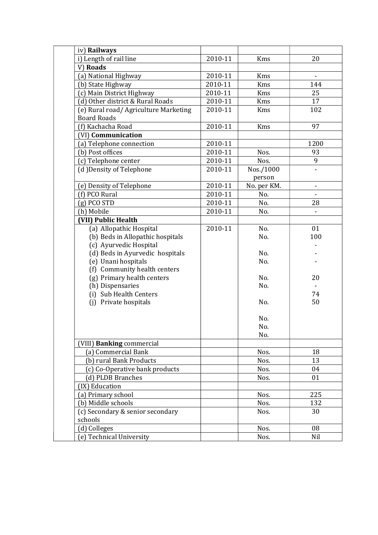| iv) Railways                                                |         |                     |      |
|-------------------------------------------------------------|---------|---------------------|------|
| i) Length of rail line                                      | 2010-11 | Kms                 | 20   |
| V) Roads                                                    |         |                     |      |
| (a) National Highway                                        | 2010-11 | Kms                 |      |
| (b) State Highway                                           | 2010-11 | Kms                 | 144  |
| (c) Main District Highway                                   | 2010-11 | Kms                 | 25   |
| (d) Other district & Rural Roads                            | 2010-11 | Kms                 | 17   |
| (e) Rural road/ Agriculture Marketing<br><b>Board Roads</b> | 2010-11 | Kms                 | 102  |
| (f) Kachacha Road                                           | 2010-11 | Kms                 | 97   |
| (VI) Communication                                          |         |                     |      |
| (a) Telephone connection                                    | 2010-11 |                     | 1200 |
| (b) Post offices                                            | 2010-11 | Nos.                | 93   |
| (c) Telephone center                                        | 2010-11 | Nos.                | 9    |
| (d) Density of Telephone                                    | 2010-11 | Nos./1000<br>person |      |
| (e) Density of Telephone                                    | 2010-11 | No. per KM.         | ÷,   |
| (f) PCO Rural                                               | 2010-11 | No.                 |      |
| $(g)$ PCO STD                                               | 2010-11 | No.                 | 28   |
| (h) Mobile                                                  | 2010-11 | No.                 |      |
| (VII) Public Health                                         |         |                     |      |
| (a) Allopathic Hospital                                     | 2010-11 | No.                 | 01   |
| (b) Beds in Allopathic hospitals                            |         | No.                 | 100  |
| (c) Ayurvedic Hospital                                      |         |                     |      |
| (d) Beds in Ayurvedic hospitals                             |         | No.                 |      |
| (e) Unani hospitals                                         |         | No.                 |      |
| (f) Community health centers                                |         |                     |      |
| (g) Primary health centers                                  |         | No.                 | 20   |
| (h) Dispensaries                                            |         | No.                 |      |
| (i) Sub Health Centers                                      |         |                     | 74   |
| (j) Private hospitals                                       |         | No.                 | 50   |
|                                                             |         | No.                 |      |
|                                                             |         | No.                 |      |
|                                                             |         | No.                 |      |
| (VIII) Banking commercial                                   |         |                     |      |
| (a) Commercial Bank                                         |         | Nos.                | 18   |
| (b) rural Bank Products                                     |         | Nos.                | 13   |
| (c) Co-Operative bank products                              |         | Nos.                | 04   |
| (d) PLDB Branches                                           |         | Nos.                | 01   |
| (IX) Education                                              |         |                     |      |
| (a) Primary school                                          |         | Nos.                | 225  |
| (b) Middle schools                                          |         | Nos.                | 132  |
| (c) Secondary & senior secondary                            |         | Nos.                | 30   |
| schools                                                     |         |                     |      |
| (d) Colleges                                                |         | Nos.                | 08   |
| (e) Technical University                                    |         | Nos.                | Nil  |
|                                                             |         |                     |      |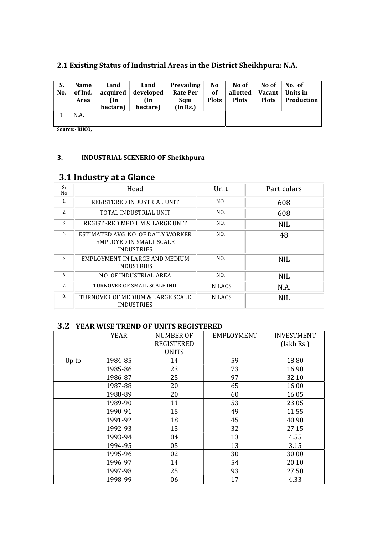| S.<br>No. | <b>Name</b><br>of Ind.<br>Area | Land<br>acquired<br>(In<br>hectare) | Land<br>developed<br>(In<br>hectare) | <b>Prevailing</b><br><b>Rate Per</b><br>Sqm<br>(In Rs.) | N <sub>0</sub><br><b>of</b><br><b>Plots</b> | No of<br>allotted<br><b>Plots</b> | No of<br><b>Vacant</b><br><b>Plots</b> | No. of<br>Units in<br>Production |
|-----------|--------------------------------|-------------------------------------|--------------------------------------|---------------------------------------------------------|---------------------------------------------|-----------------------------------|----------------------------------------|----------------------------------|
|           | N.A.                           |                                     |                                      |                                                         |                                             |                                   |                                        |                                  |

#### 2.1 Existing Status of Industrial Areas in the District Sheikhpura: N.A.

Source:- RIICO,

#### 3. INDUSTRIAL SCENERIO OF Sheikhpura

#### 3.1 Industry at a Glance

| Sr<br>No | Head                                                                               | Unit    | Particulars |
|----------|------------------------------------------------------------------------------------|---------|-------------|
| 1.       | REGISTERED INDUSTRIAL UNIT                                                         | NO.     | 608         |
| 2.       | TOTAL INDUSTRIAL UNIT                                                              | NO.     | 608         |
| 3.       | REGISTERED MEDIUM & LARGE UNIT                                                     | NO.     | <b>NIL</b>  |
| 4.       | ESTIMATED AVG. NO. OF DAILY WORKER<br>EMPLOYED IN SMALL SCALE<br><b>INDUSTRIES</b> | NO.     | 48          |
| 5.       | EMPLOYMENT IN LARGE AND MEDIUM<br><b>INDUSTRIES</b>                                | NO.     | <b>NIL</b>  |
| 6.       | NO. OF INDUSTRIAL AREA                                                             | NO.     | <b>NIL</b>  |
| 7.       | TURNOVER OF SMALL SCALE IND.                                                       | IN LACS | N.A.        |
| 8.       | TURNOVER OF MEDIUM & LARGE SCALE<br><b>INDUSTRIES</b>                              | IN LACS | <b>NIL</b>  |

#### 3.2 YEAR WISE TREND OF UNITS REGISTERED

|       | <b>YEAR</b> | <b>NUMBER OF</b><br><b>REGISTERED</b><br><b>UNITS</b> | <b>EMPLOYMENT</b> | <b>INVESTMENT</b><br>(lakh Rs.) |
|-------|-------------|-------------------------------------------------------|-------------------|---------------------------------|
| Up to | 1984-85     | 14                                                    | 59                | 18.80                           |
|       | 1985-86     | 23                                                    | 73                | 16.90                           |
|       | 1986-87     | 25                                                    | 97                | 32.10                           |
|       | 1987-88     | 20                                                    | 65                | 16.00                           |
|       | 1988-89     | 20                                                    | 60                | 16.05                           |
|       | 1989-90     | 11                                                    | 53                | 23.05                           |
|       | 1990-91     | 15                                                    | 49                | 11.55                           |
|       | 1991-92     | 18                                                    | 45                | 40.90                           |
|       | 1992-93     | 13                                                    | 32                | 27.15                           |
|       | 1993-94     | 04                                                    | 13                | 4.55                            |
|       | 1994-95     | 05                                                    | 13                | 3.15                            |
|       | 1995-96     | 02                                                    | 30                | 30.00                           |
|       | 1996-97     | 14                                                    | 54                | 20.10                           |
|       | 1997-98     | 25                                                    | 93                | 27.50                           |
|       | 1998-99     | 06                                                    | 17                | 4.33                            |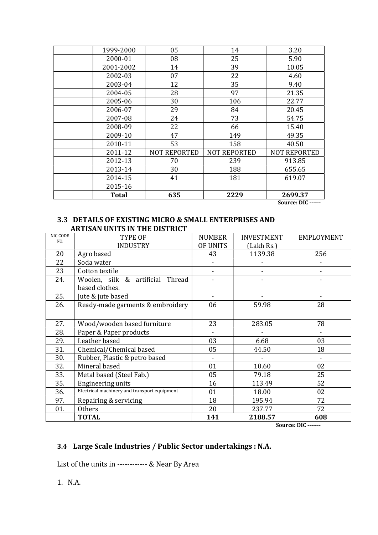| 1999-2000    | 05                  | 14                  | 3.20                             |
|--------------|---------------------|---------------------|----------------------------------|
| 2000-01      | 08                  | 25                  | 5.90                             |
| 2001-2002    | 14                  | 39                  | 10.05                            |
| 2002-03      | 07                  | 22                  | 4.60                             |
| 2003-04      | 12                  | 35                  | 9.40                             |
| 2004-05      | 28                  | 97                  | 21.35                            |
| 2005-06      | 30                  | 106                 | 22.77                            |
| 2006-07      | 29                  | 84                  | 20.45                            |
| 2007-08      | 24                  | 73                  | 54.75                            |
| 2008-09      | 22                  | 66                  | 15.40                            |
| 2009-10      | 47                  | 149                 | 49.35                            |
| 2010-11      | 53                  | 158                 | 40.50                            |
| 2011-12      | <b>NOT REPORTED</b> | <b>NOT REPORTED</b> | <b>NOT REPORTED</b>              |
| 2012-13      | 70                  | 239                 | 913.85                           |
| 2013-14      | 30                  | 188                 | 655.65                           |
| 2014-15      | 41                  | 181                 | 619.07                           |
| 2015-16      |                     |                     |                                  |
| <b>Total</b> | 635                 | 2229                | 2699.37<br>$\sqrt{2}$<br><b></b> |

Source: DIC ------

#### 3.3 DETAILS OF EXISTING MICRO & SMALL ENTERPRISES AND ARTISAN UNITS IN THE DISTRICT

| <b>NIC CODE</b><br>NO. | TYPE OF                                            | <b>NUMBER</b> | <b>INVESTMENT</b> | EMPLOYMENT     |
|------------------------|----------------------------------------------------|---------------|-------------------|----------------|
|                        | <b>INDUSTRY</b>                                    | OF UNITS      | (Lakh Rs.)        |                |
| 20                     | Agro based                                         | 43            | 1139.38           | 256            |
| 22                     | Soda water                                         |               |                   |                |
| 23                     | Cotton textile                                     |               |                   |                |
| 24.                    | Woolen, silk & artificial Thread<br>based clothes. |               |                   |                |
| 25.                    | Jute & jute based                                  |               |                   |                |
| 26.                    | Ready-made garments & embroidery                   | 06            | 59.98             | 28             |
|                        |                                                    |               |                   |                |
| 27.                    | Wood/wooden based furniture                        | 23            | 283.05            | 78             |
| 28.                    | Paper & Paper products                             |               |                   |                |
| 29.                    | Leather based                                      | 03            | 6.68              | 03             |
| 31.                    | Chemical/Chemical based                            | 05            | 44.50             | 18             |
| 30.                    | Rubber, Plastic & petro based                      |               |                   |                |
| 32.                    | Mineral based                                      | 01            | 10.60             | 02             |
| 33.                    | Metal based (Steel Fab.)                           | 05            | 79.18             | 25             |
| 35.                    | Engineering units                                  | 16            | 113.49            | 52             |
| 36.                    | Electrical machinery and transport equipment       | 01            | 18.00             | 02             |
| 97.                    | Repairing & servicing                              | 18            | 195.94            | 72             |
| 01.                    | <b>Others</b>                                      | 20            | 237.77            | 72             |
|                        | <b>TOTAL</b>                                       | 141           | 2188.57           | 608<br>$- - -$ |

Source: DIC -------

#### 3.4 Large Scale Industries / Public Sector undertakings : N.A.

List of the units in ------------ & Near By Area

1. N.A.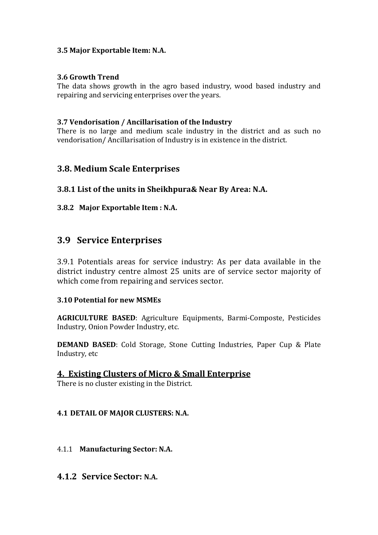#### 3.5 Major Exportable Item: N.A.

#### 3.6 Growth Trend

The data shows growth in the agro based industry, wood based industry and repairing and servicing enterprises over the years.

#### 3.7 Vendorisation / Ancillarisation of the Industry

There is no large and medium scale industry in the district and as such no vendorisation/ Ancillarisation of Industry is in existence in the district.

#### 3.8. Medium Scale Enterprises

#### 3.8.1 List of the units in Sheikhpura& Near By Area: N.A.

#### 3.8.2 Major Exportable Item : N.A.

#### 3.9 Service Enterprises

3.9.1 Potentials areas for service industry: As per data available in the district industry centre almost 25 units are of service sector majority of which come from repairing and services sector.

#### 3.10 Potential for new MSMEs

AGRICULTURE BASED: Agriculture Equipments, Barmi-Composte, Pesticides Industry, Onion Powder Industry, etc.

DEMAND BASED: Cold Storage, Stone Cutting Industries, Paper Cup & Plate Industry, etc

#### 4. Existing Clusters of Micro & Small Enterprise

There is no cluster existing in the District.

#### 4.1 DETAIL OF MAJOR CLUSTERS: N.A.

#### 4.1.1 Manufacturing Sector: N.A.

#### 4.1.2 Service Sector: N.A.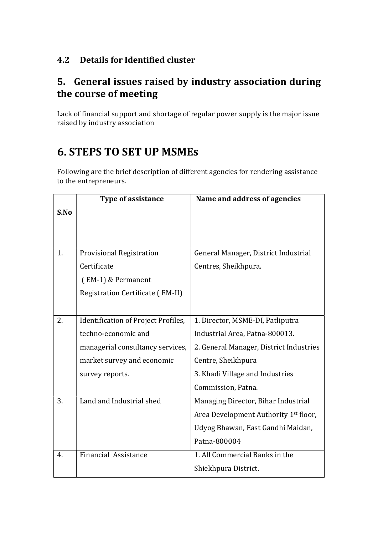#### 4.2 Details for Identified cluster

## 5. General issues raised by industry association during the course of meeting

Lack of financial support and shortage of regular power supply is the major issue raised by industry association

# 6. STEPS TO SET UP MSMEs

Following are the brief description of different agencies for rendering assistance to the entrepreneurs.

|      | <b>Type of assistance</b>           | Name and address of agencies                      |
|------|-------------------------------------|---------------------------------------------------|
| S.No |                                     |                                                   |
|      |                                     |                                                   |
|      |                                     |                                                   |
| 1.   | <b>Provisional Registration</b>     | General Manager, District Industrial              |
|      | Certificate                         | Centres, Sheikhpura.                              |
|      | (EM-1) & Permanent                  |                                                   |
|      | Registration Certificate (EM-II)    |                                                   |
|      |                                     |                                                   |
| 2.   | Identification of Project Profiles, | 1. Director, MSME-DI, Patliputra                  |
|      | techno-economic and                 | Industrial Area, Patna-800013.                    |
|      | managerial consultancy services,    | 2. General Manager, District Industries           |
|      | market survey and economic          | Centre, Sheikhpura                                |
|      | survey reports.                     | 3. Khadi Village and Industries                   |
|      |                                     | Commission, Patna.                                |
| 3.   | Land and Industrial shed            | Managing Director, Bihar Industrial               |
|      |                                     | Area Development Authority 1 <sup>st</sup> floor, |
|      |                                     | Udyog Bhawan, East Gandhi Maidan,                 |
|      |                                     | Patna-800004                                      |
| 4.   | Financial Assistance                | 1. All Commercial Banks in the                    |
|      |                                     | Shiekhpura District.                              |